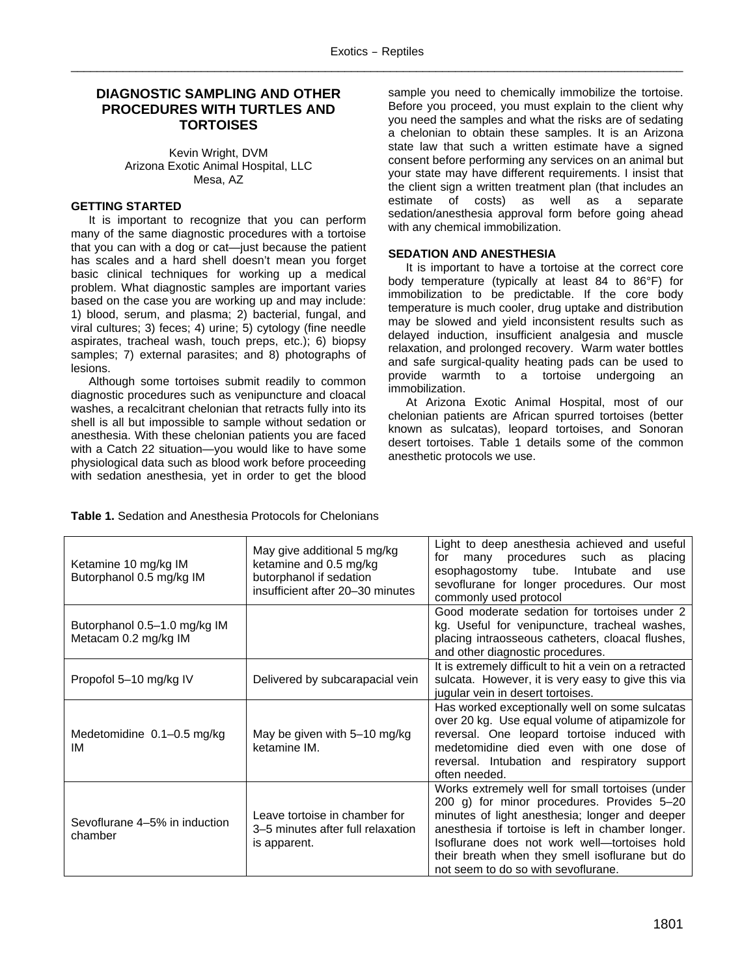# **DIAGNOSTIC SAMPLING AND OTHER PROCEDURES WITH TURTLES AND TORTOISES**

Kevin Wright, DVM Arizona Exotic Animal Hospital, LLC Mesa, AZ

# **GETTING STARTED**

It is important to recognize that you can perform many of the same diagnostic procedures with a tortoise that you can with a dog or cat—just because the patient has scales and a hard shell doesn't mean you forget basic clinical techniques for working up a medical problem. What diagnostic samples are important varies based on the case you are working up and may include: 1) blood, serum, and plasma; 2) bacterial, fungal, and viral cultures; 3) feces; 4) urine; 5) cytology (fine needle aspirates, tracheal wash, touch preps, etc.); 6) biopsy samples; 7) external parasites; and 8) photographs of lesions.

Although some tortoises submit readily to common diagnostic procedures such as venipuncture and cloacal washes, a recalcitrant chelonian that retracts fully into its shell is all but impossible to sample without sedation or anesthesia. With these chelonian patients you are faced with a Catch 22 situation—you would like to have some physiological data such as blood work before proceeding with sedation anesthesia, yet in order to get the blood sample you need to chemically immobilize the tortoise. Before you proceed, you must explain to the client why you need the samples and what the risks are of sedating a chelonian to obtain these samples. It is an Arizona state law that such a written estimate have a signed consent before performing any services on an animal but your state may have different requirements. I insist that the client sign a written treatment plan (that includes an estimate of costs) as well as a separate sedation/anesthesia approval form before going ahead with any chemical immobilization.

# **SEDATION AND ANESTHESIA**

It is important to have a tortoise at the correct core body temperature (typically at least 84 to 86°F) for immobilization to be predictable. If the core body temperature is much cooler, drug uptake and distribution may be slowed and yield inconsistent results such as delayed induction, insufficient analgesia and muscle relaxation, and prolonged recovery. Warm water bottles and safe surgical-quality heating pads can be used to provide warmth to a tortoise undergoing an immobilization.

At Arizona Exotic Animal Hospital, most of our chelonian patients are African spurred tortoises (better known as sulcatas), leopard tortoises, and Sonoran desert tortoises. Table 1 details some of the common anesthetic protocols we use.

| Ketamine 10 mg/kg IM<br>Butorphanol 0.5 mg/kg IM     | May give additional 5 mg/kg<br>ketamine and 0.5 mg/kg<br>butorphanol if sedation<br>insufficient after 20–30 minutes | Light to deep anesthesia achieved and useful<br>procedures such<br>for<br>many<br>as<br>placing<br>esophagostomy tube. Intubate<br>and<br>use<br>sevoflurane for longer procedures. Our most<br>commonly used protocol                                                                                                                        |
|------------------------------------------------------|----------------------------------------------------------------------------------------------------------------------|-----------------------------------------------------------------------------------------------------------------------------------------------------------------------------------------------------------------------------------------------------------------------------------------------------------------------------------------------|
| Butorphanol 0.5–1.0 mg/kg IM<br>Metacam 0.2 mg/kg IM |                                                                                                                      | Good moderate sedation for tortoises under 2<br>kg. Useful for venipuncture, tracheal washes,<br>placing intraosseous catheters, cloacal flushes,<br>and other diagnostic procedures.                                                                                                                                                         |
| Propofol 5–10 mg/kg IV                               | Delivered by subcarapacial vein                                                                                      | It is extremely difficult to hit a vein on a retracted<br>sulcata. However, it is very easy to give this via<br>jugular vein in desert tortoises.                                                                                                                                                                                             |
| Medetomidine $0.1-0.5$ mg/kg<br>IM                   | May be given with 5-10 mg/kg<br>ketamine IM.                                                                         | Has worked exceptionally well on some sulcatas<br>over 20 kg. Use equal volume of atipamizole for<br>reversal. One leopard tortoise induced with<br>medetomidine died even with one dose of<br>reversal. Intubation and respiratory support<br>often needed.                                                                                  |
| Sevoflurane 4–5% in induction<br>chamber             | Leave tortoise in chamber for<br>3–5 minutes after full relaxation<br>is apparent.                                   | Works extremely well for small tortoises (under<br>200 g) for minor procedures. Provides 5-20<br>minutes of light anesthesia; longer and deeper<br>anesthesia if tortoise is left in chamber longer.<br>Isoflurane does not work well-tortoises hold<br>their breath when they smell isoflurane but do<br>not seem to do so with sevoflurane. |

**Table 1.** Sedation and Anesthesia Protocols for Chelonians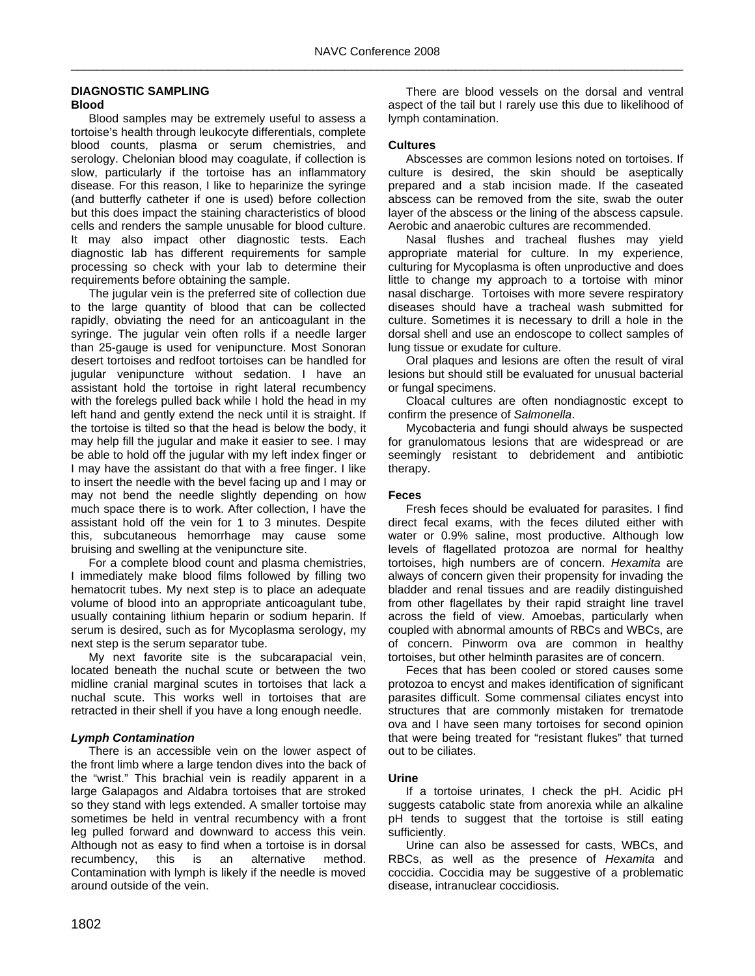#### **DIAGNOSTIC SAMPLING Blood**

Blood samples may be extremely useful to assess a tortoise's health through leukocyte differentials, complete blood counts, plasma or serum chemistries, and serology. Chelonian blood may coagulate, if collection is slow, particularly if the tortoise has an inflammatory disease. For this reason, I like to heparinize the syringe (and butterfly catheter if one is used) before collection but this does impact the staining characteristics of blood cells and renders the sample unusable for blood culture. It may also impact other diagnostic tests. Each diagnostic lab has different requirements for sample processing so check with your lab to determine their requirements before obtaining the sample.

The jugular vein is the preferred site of collection due to the large quantity of blood that can be collected rapidly, obviating the need for an anticoagulant in the syringe. The jugular vein often rolls if a needle larger than 25-gauge is used for venipuncture. Most Sonoran desert tortoises and redfoot tortoises can be handled for jugular venipuncture without sedation. I have an assistant hold the tortoise in right lateral recumbency with the forelegs pulled back while I hold the head in my left hand and gently extend the neck until it is straight. If the tortoise is tilted so that the head is below the body, it may help fill the jugular and make it easier to see. I may be able to hold off the jugular with my left index finger or I may have the assistant do that with a free finger. I like to insert the needle with the bevel facing up and I may or may not bend the needle slightly depending on how much space there is to work. After collection, I have the assistant hold off the vein for 1 to 3 minutes. Despite this, subcutaneous hemorrhage may cause some bruising and swelling at the venipuncture site.

For a complete blood count and plasma chemistries, I immediately make blood films followed by filling two hematocrit tubes. My next step is to place an adequate volume of blood into an appropriate anticoagulant tube, usually containing lithium heparin or sodium heparin. If serum is desired, such as for Mycoplasma serology, my next step is the serum separator tube.

My next favorite site is the subcarapacial vein, located beneath the nuchal scute or between the two midline cranial marginal scutes in tortoises that lack a nuchal scute. This works well in tortoises that are retracted in their shell if you have a long enough needle.

# *Lymph Contamination*

There is an accessible vein on the lower aspect of the front limb where a large tendon dives into the back of the "wrist." This brachial vein is readily apparent in a large Galapagos and Aldabra tortoises that are stroked so they stand with legs extended. A smaller tortoise may sometimes be held in ventral recumbency with a front leg pulled forward and downward to access this vein. Although not as easy to find when a tortoise is in dorsal recumbency, this is an alternative method. Contamination with lymph is likely if the needle is moved around outside of the vein.

There are blood vessels on the dorsal and ventral aspect of the tail but I rarely use this due to likelihood of lymph contamination.

# **Cultures**

Abscesses are common lesions noted on tortoises. If culture is desired, the skin should be aseptically prepared and a stab incision made. If the caseated abscess can be removed from the site, swab the outer layer of the abscess or the lining of the abscess capsule. Aerobic and anaerobic cultures are recommended.

Nasal flushes and tracheal flushes may yield appropriate material for culture. In my experience, culturing for Mycoplasma is often unproductive and does little to change my approach to a tortoise with minor nasal discharge. Tortoises with more severe respiratory diseases should have a tracheal wash submitted for culture. Sometimes it is necessary to drill a hole in the dorsal shell and use an endoscope to collect samples of lung tissue or exudate for culture.

Oral plaques and lesions are often the result of viral lesions but should still be evaluated for unusual bacterial or fungal specimens.

Cloacal cultures are often nondiagnostic except to confirm the presence of *Salmonella*.

Mycobacteria and fungi should always be suspected for granulomatous lesions that are widespread or are seemingly resistant to debridement and antibiotic therapy.

### **Feces**

Fresh feces should be evaluated for parasites. I find direct fecal exams, with the feces diluted either with water or 0.9% saline, most productive. Although low levels of flagellated protozoa are normal for healthy tortoises, high numbers are of concern. *Hexamita* are always of concern given their propensity for invading the bladder and renal tissues and are readily distinguished from other flagellates by their rapid straight line travel across the field of view. Amoebas, particularly when coupled with abnormal amounts of RBCs and WBCs, are of concern. Pinworm ova are common in healthy tortoises, but other helminth parasites are of concern.

Feces that has been cooled or stored causes some protozoa to encyst and makes identification of significant parasites difficult. Some commensal ciliates encyst into structures that are commonly mistaken for trematode ova and I have seen many tortoises for second opinion that were being treated for "resistant flukes" that turned out to be ciliates.

### **Urine**

If a tortoise urinates, I check the pH. Acidic pH suggests catabolic state from anorexia while an alkaline pH tends to suggest that the tortoise is still eating sufficiently.

Urine can also be assessed for casts, WBCs, and RBCs, as well as the presence of *Hexamita* and coccidia. Coccidia may be suggestive of a problematic disease, intranuclear coccidiosis.